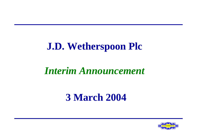## **J.D. Wetherspoon Plc**

#### *Interim Announcement*

## **3 March 2004**

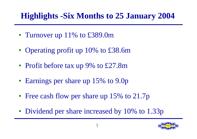#### **Highlights -Six Months to 25 January 2004**

- Turnover up 11% to £389.0m
- Operating profit up 10% to £38.6m
- Profit before tax up 9% to £27.8m
- Earnings per share up 15% to 9.0p
- Free cash flow per share up 15% to 21.7p
- Dividend per share increased by 10% to 1.33p

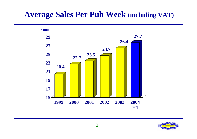#### **Average Sales Per Pub Week (including VAT)**



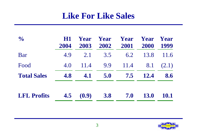#### **Like For Like Sales**

| $\frac{1}{2}$      | HOL<br>2004 | Year<br>2003 | Year<br>2002 | Year<br>2001 | Year<br>2000 | Year<br>1999 |
|--------------------|-------------|--------------|--------------|--------------|--------------|--------------|
| Bar                | 4.9         | 2.1          | 3.5          | 6.2          | 13.8         | 11.6         |
| Food               | 4.0         | 11.4         | 9.9          | 11.4         | 8.1          | (2.1)        |
| <b>Total Sales</b> | 4.8         | 4.1          | 5.0          | 7.5          | <b>12.4</b>  | 8.6          |
| <b>LFL Profits</b> | 4.5         | (0.9)        | 3.8          | 7.0          | <b>13.0</b>  | <b>10.1</b>  |

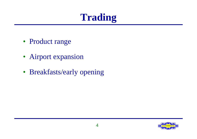# **Trading**

- Product range
- Airport expansion
- Breakfasts/early opening

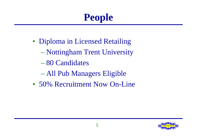# **People**

- Diploma in Licensed Retailing
	- Nottingham Trent University
	- 80 Candidates
	- All Pub Managers Eligible
- 50% Recruitment Now On-Line

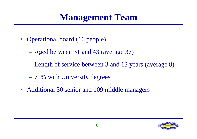## **Management Team**

- Operational board (16 people)
	- Aged between 31 and 43 (average 37)
	- Length of service between 3 and 13 years (average 8)
	- 75% with University degrees
- Additional 30 senior and 109 middle managers

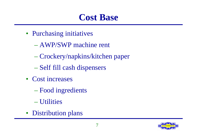## **Cost Base**

- Purchasing initiatives
	- AWP/SWP machine rent
	- Crockery/napkins/kitchen paper
	- Self fill cash dispensers
- Cost increases
	- Food ingredients
	- Utilities
- Distribution plans

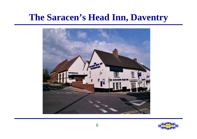#### **The Saracen's Head Inn, Daventry**



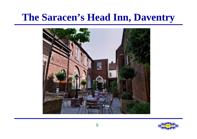## **The Saracen's Head Inn, Daventry**



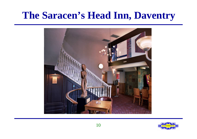## **The Saracen's Head Inn, Daventry**



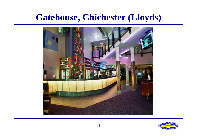## **Gatehouse, Chichester (Lloyds)**



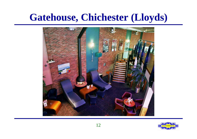## **Gatehouse, Chichester (Lloyds)**



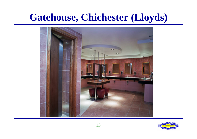## **Gatehouse, Chichester (Lloyds)**



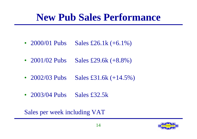## **New Pub Sales Performance**

- 2000/01 Pubs Sales £26.1k  $(+6.1\%)$
- 2001/02 Pubs Sales £29.6k  $(+8.8\%)$
- 2002/03 Pubs Sales £31.6k  $(+14.5\%)$
- 2003/04 Pubs Sales £32.5k

Sales per week including VAT

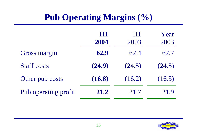## **Pub Operating Margins (%)**

|                      | HI<br>2004 | HI<br>2003 | Year<br>2003 |
|----------------------|------------|------------|--------------|
| <b>Gross margin</b>  | 62.9       | 62.4       | 62.7         |
| <b>Staff costs</b>   | (24.9)     | (24.5)     | (24.5)       |
| Other pub costs      | (16.8)     | (16.2)     | (16.3)       |
| Pub operating profit | 21.2       | 21.7       | 21.9         |

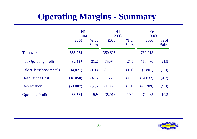### **Operating Margins - Summary**

|                             | H1<br>2004 |                        | H1<br>2003 |                        | Year<br>2003 |                        |
|-----------------------------|------------|------------------------|------------|------------------------|--------------|------------------------|
|                             | £000       | $%$ of<br><b>Sales</b> | £000       | $%$ of<br><b>Sales</b> | £000         | $%$ of<br><b>Sales</b> |
| <b>Turnover</b>             | 388,964    | ٠                      | 350,606    |                        | 730,913      |                        |
| <b>Pub Operating Profit</b> | 82,527     | 21.2                   | 75,954     | 21.7                   | 160,030      | 21.9                   |
| Sale & leaseback rentals    | (4,021)    | (1.1)                  | (3,861)    | (1.1)                  | (7,801)      | (1.0)                  |
| <b>Head Office Costs</b>    | (18, 058)  | (4.6)                  | (15,772)   | (4.5)                  | (34, 037)    | (4.7)                  |
| Depreciation                | (21, 887)  | (5.6)                  | (21,308)   | (6.1)                  | (43,209)     | (5.9)                  |
| <b>Operating Profit</b>     | 38,561     | 9.9                    | 35,013     | 10.0                   | 74,983       | 10.3                   |

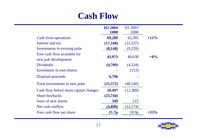#### **Cash Flow**

|                                                     | H1 2004<br>$\pmb{\pounds}000$ | H1 2003<br>£000   |         |
|-----------------------------------------------------|-------------------------------|-------------------|---------|
| <b>Cash from operations</b>                         | 69,289                        | 62,395            | $+11\%$ |
| Interest and tax                                    | (17, 168)                     | (12, 537)         |         |
| Investments in existing pubs                        | (8, 148)                      | (9,220)           |         |
| Free cash flow available for<br>new pub development | 43,973                        | 40,638            | $+8%$   |
| <b>Dividends</b>                                    | (4,700)                       | (4,334)           |         |
| Investment in own shares                            |                               | (153)             |         |
| Disposal proceeds                                   | 6,796                         |                   |         |
| Total investments in new pubs                       | (25,572)                      | (48,540)          |         |
| Cash flow before share capital changes              | 20,497                        | (12, 389)         |         |
| <b>Share buybacks</b>                               | (25,744)                      |                   |         |
| Issue of new shares                                 | 349                           | 215               |         |
| Net cash outflow                                    | (4,898)                       | (12, 174)         |         |
| Free cash flow per share                            | 21.7p                         | 18.9 <sub>p</sub> | $+15%$  |
|                                                     |                               |                   |         |

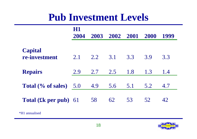## **Pub Investment Levels**

|                                 | HI<br>2004 | 2003 | 2002 2001 |     | 2000 | 1999 |
|---------------------------------|------------|------|-----------|-----|------|------|
| <b>Capital</b><br>re-investment | 2.1        | 2.2  | 3.1       | 3.3 | 3.9  | 3.3  |
| <b>Repairs</b>                  | 2.9        | 2.7  | 2.5       | 1.8 | 1.3  | 1.4  |
| Total (% of sales)              | 5.0        | 4.9  | 5.6       | 5.1 | 5.2  | 4.7  |
| <b>Total (£k per pub)</b> 61    |            | 58   | 62        | 53  | 52   | 42   |
| H1 annualised                   |            |      |           |     |      |      |

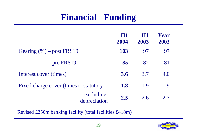#### **Financial - Funding**

|                                        | H1<br>2004 | H1<br>2003 | Year<br>2003 |
|----------------------------------------|------------|------------|--------------|
| Gearing $(\% )$ – post FRS19           | <b>103</b> | 97         | 97           |
| $-$ pre FRS19                          | 85         | 82         | 81           |
| Interest cover (times)                 | 3.6        | 3.7        | 4.0          |
| Fixed charge cover (times) - statutory | <b>1.8</b> | 1.9        | 1.9          |
| - excluding<br>depreciation            | 2.5        | 2.6        | 2.7          |

Revised £250m banking facility (total facilities £418m)

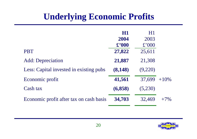#### **Underlying Economic Profits**

|                                         | H1             | H1      |         |
|-----------------------------------------|----------------|---------|---------|
|                                         | 2004           | 2003    |         |
|                                         | $\pounds$ '000 | £'000   |         |
| <b>PBT</b>                              | 27,822         | 25,611  |         |
| <b>Add:</b> Depreciation                | 21,887         | 21,308  |         |
| Less: Capital invested in existing pubs | (8, 148)       | (9,220) |         |
| Economic profit                         | 41,561         | 37,699  | $+10\%$ |
| Cash tax                                | (6,858)        | (5,230) |         |
| Economic profit after tax on cash basis | 34,703         | 32,469  | $+7%$   |

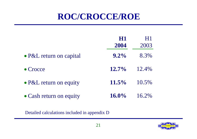#### **ROC/CROCCE/ROE**

|                                | HI<br>2004 | H1<br>2003 |
|--------------------------------|------------|------------|
| • P&L return on capital        | $9.2\%$    | 8.3%       |
| $\bullet$ Crocce               | $12.7\%$   | 12.4%      |
| $\bullet$ P&L return on equity | $11.5\%$   | 10.5%      |
| • Cash return on equity        | $16.0\%$   | 16.2%      |

Detailed calculations included in appendix D

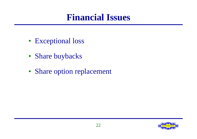#### **Financial Issues**

- Exceptional loss
- Share buybacks
- Share option replacement

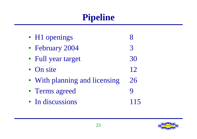## **Pipeline**

| • H1 openings                 |    |
|-------------------------------|----|
| • February 2004               | 3  |
| • Full year target            | 30 |
| • On site                     | 12 |
| • With planning and licensing | 26 |
| • Terms agreed                |    |
| • In discussions              |    |

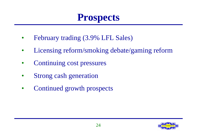## **Prospects**

- February trading (3.9% LFL Sales)
- Licensing reform/smoking debate/gaming reform
- Continuing cost pressures
- Strong cash generation
- Continued growth prospects

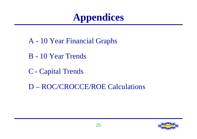## **Appendices**

- A 10 Year Financial Graphs
- B 10 Year Trends
- C Capital Trends
- D ROC/CROCCE/ROE Calculations

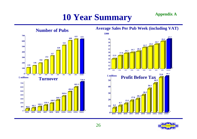#### **10 Year Summary Appendix A**



#### **Average Sales Per Pub Week (including VAT)**



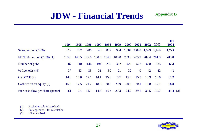#### **JDW - Financial Trends**

|                                         | 1994  | 1995  | 1996  | 1997  | 1998  | 1999  | <b>2000</b> | 2001        | 2002  | 2003  | H1<br>2004  |
|-----------------------------------------|-------|-------|-------|-------|-------|-------|-------------|-------------|-------|-------|-------------|
| Sales per pub $(\text{\pounds}000)$     | 619   | 702   | 786   | 848   | 872   | 904   | 1,004       | 1,040       | 1,093 | 1,169 | 1,225       |
| EBITDA per pub $(\text{\pounds}000)(1)$ | 135.6 | 149.5 | 177.6 | 190.8 | 184.9 | 188.0 |             | 203.8 205.9 | 207.4 | 201.9 | 203.8       |
| Number of pubs                          | 87    | 110   | 146   | 194   | 252   | 327   | 428         | 522         | 608   | 635   | 633         |
| $%$ freeholds $(\%)$                    | 37    | 33    | 35    | 31    | 30    | 21    | 32          | 40          | 42    | 42    | 41          |
| CROCCE <sub>(2)</sub>                   | 14.8  | 15.0  | 17.1  | 14.1  | 15.0  | 15.7  | 15.6        | 15.3        | 13.9  | 13.0  | 12.7        |
| Cash return on equity $(2)$             | 15.8  | 17.5  | 21.7  | 18.3  | 20.8  | 20.9  | 20.3        | 20.1        | 18.8  | 17.1  | <b>16.0</b> |
| Free cash flow per share (pence)        | 4.1   | 7.4   | 11.3  | 14.4  | 13.3  | 20.3  | 24.2        | 29.1        | 33.5  | 39.7  | 43.4 $(3)$  |

(1) Excluding sale & leaseback

(2) See appendix D for calculation

(3) H1 annualised



**Appendix B**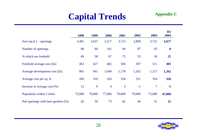### **Capital Trends**

|                                    | 1998   | 1999   | 2000           | 2001   | 2002   | 2003           | H1<br>2004 |
|------------------------------------|--------|--------|----------------|--------|--------|----------------|------------|
| Size $(sq.fit.)$ – openings        | 3,401  | 3,037  | 3,217          | 3,713  | 3,808  | 3,721          | 3,977      |
| Number of openings                 | 68     | 84     | 101            | 94     | 87     | 45             | 8          |
| % which are freehold               | 49     | 58     | 67             | 75     | 53     | 56             | 25         |
| Freehold average cost $(fk)$       | 463    | 427    | 465            | 506    | 597    | 511            | 405        |
| Average development cost $(fk)$    | 965    | 941    | 1,049          | 1,178  | 1,262  | 1,317          | 1,392      |
| Average cost per sq. ft.           | 284    | 310    | 326            | 334    | 331    | 354            | 350        |
| Increase in average cost $(\%)$    | 12     | 9      | $\overline{4}$ | 3      | $-1$   | $\overline{7}$ | $-1$       |
| Population within 2 miles          | 72,000 | 70,000 | 77,000         | 70,000 | 70,000 | 73,000         | 47,000     |
| Pub openings with beer gardens (%) | 42     | 50     | 73             | 62     | 46     | 51             | 25         |

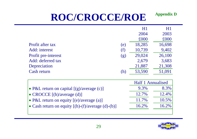# **ROC/CROCCE/ROE**

|                                                           |     | H1                | $\rm H1$ |
|-----------------------------------------------------------|-----|-------------------|----------|
|                                                           |     | 2004              | 2003     |
|                                                           |     | £000              | £000     |
| Profit after tax                                          | (e) | 18,285            | 16,698   |
| Add: interest                                             | (f) | 10,739            | 9,402    |
| Profit pre-interest                                       | (g) | 29,024            | 26,100   |
| Add: deferred tax                                         |     | 2,679             | 3,683    |
| Depreciation                                              |     | 21,887            | 21,308   |
| Cash return                                               | (h) | 53,590            | 51,091   |
|                                                           |     |                   |          |
|                                                           |     | Half 1 Annualised |          |
| • P&L return on capital $[(g)/\text{average}(c)]$         |     | 9.3%              | 8.3%     |
| • CROCCE [(h)/average (d)]                                |     | 12.7%             | 12.4%    |
| • P&L return on equity $[(e)/average(a)]$                 |     | 11.7%             | 10.5%    |
| • Cash return on equity $[(h)-(f)/\text{average}(d)-(b)]$ |     | 16.2%             | 16.2%    |
|                                                           |     |                   |          |



**Appendix D**